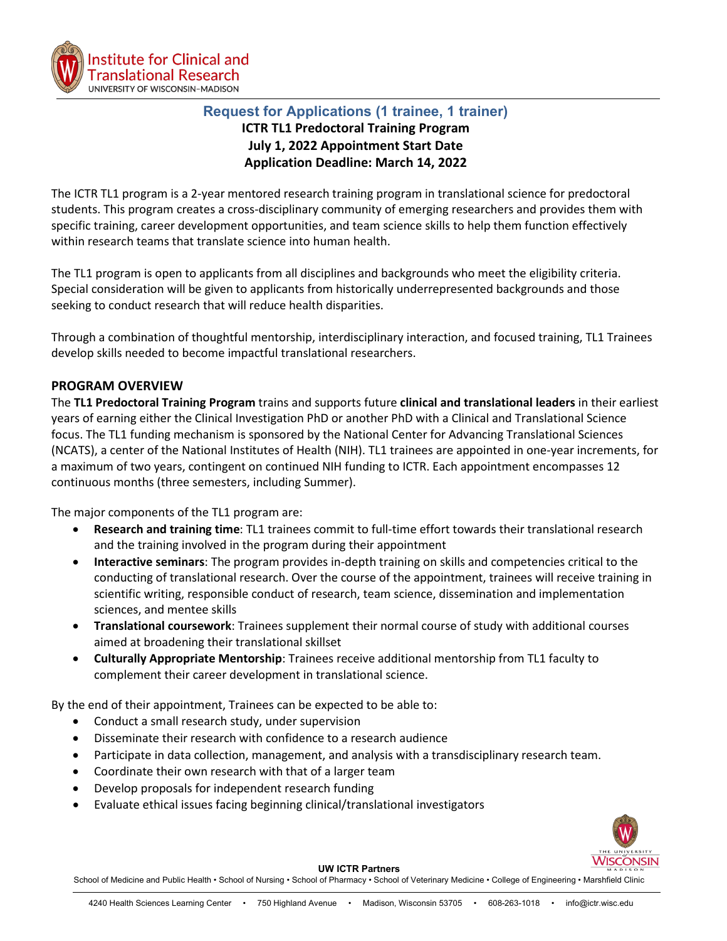

# **Request for Applications (1 trainee, 1 trainer) ICTR TL1 Predoctoral Training Program July 1, 2022 Appointment Start Date Application Deadline: March 14, 2022**

The ICTR TL1 program is a 2-year mentored research training program in translational science for predoctoral students. This program creates a cross-disciplinary community of emerging researchers and provides them with specific training, career development opportunities, and team science skills to help them function effectively within research teams that translate science into human health.

The TL1 program is open to applicants from all disciplines and backgrounds who meet the eligibility criteria. Special consideration will be given to applicants from historically underrepresented backgrounds and those seeking to conduct research that will reduce health disparities.

Through a combination of thoughtful mentorship, interdisciplinary interaction, and focused training, TL1 Trainees develop skills needed to become impactful translational researchers.

## **PROGRAM OVERVIEW**

The **TL1 Predoctoral Training Program** trains and supports future **clinical and translational leaders** in their earliest years of earning either the Clinical Investigation PhD or another PhD with a Clinical and Translational Science focus. The TL1 funding mechanism is sponsored by the National Center for Advancing Translational Sciences (NCATS), a center of the National Institutes of Health (NIH). TL1 trainees are appointed in one-year increments, for a maximum of two years, contingent on continued NIH funding to ICTR. Each appointment encompasses 12 continuous months (three semesters, including Summer).

The major components of the TL1 program are:

- **Research and training time**: TL1 trainees commit to full-time effort towards their translational research and the training involved in the program during their appointment
- **Interactive seminars**: The program provides in-depth training on skills and competencies critical to the conducting of translational research. Over the course of the appointment, trainees will receive training in scientific writing, responsible conduct of research, team science, dissemination and implementation sciences, and mentee skills
- **Translational coursework**: Trainees supplement their normal course of study with additional courses aimed at broadening their translational skillset
- **Culturally Appropriate Mentorship**: Trainees receive additional mentorship from TL1 faculty to complement their career development in translational science.

By the end of their appointment, Trainees can be expected to be able to:

- Conduct a small research study, under supervision
- Disseminate their research with confidence to a research audience
- Participate in data collection, management, and analysis with a transdisciplinary research team.
- Coordinate their own research with that of a larger team
- Develop proposals for independent research funding
- Evaluate ethical issues facing beginning clinical/translational investigators



#### **UW ICTR Partners**

School of Medicine and Public Health • School of Nursing • School of Pharmacy • School of Veterinary Medicine • College of Engineering • Marshfield Clinic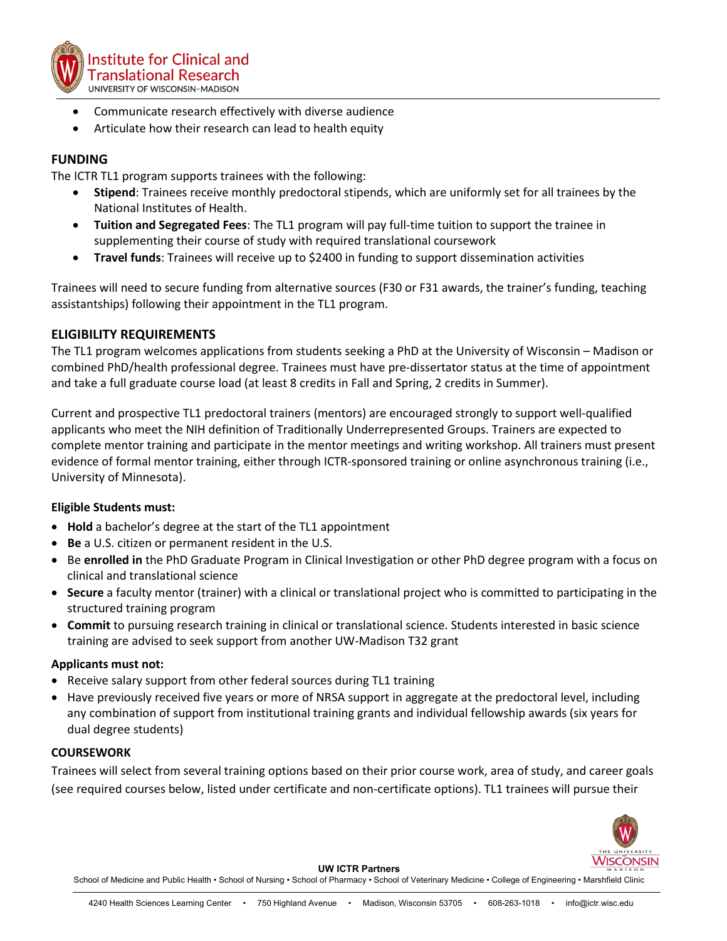

- Communicate research effectively with diverse audience
- Articulate how their research can lead to health equity

## **FUNDING**

The ICTR TL1 program supports trainees with the following:

- **Stipend**: Trainees receive monthly predoctoral stipends, which are uniformly set for all trainees by the National Institutes of Health.
- **Tuition and Segregated Fees**: The TL1 program will pay full-time tuition to support the trainee in supplementing their course of study with required translational coursework
- **Travel funds**: Trainees will receive up to \$2400 in funding to support dissemination activities

Trainees will need to secure funding from alternative sources (F30 or F31 awards, the trainer's funding, teaching assistantships) following their appointment in the TL1 program.

### **ELIGIBILITY REQUIREMENTS**

The TL1 program welcomes applications from students seeking a PhD at the University of Wisconsin – Madison or combined PhD/health professional degree. Trainees must have pre-dissertator status at the time of appointment and take a full graduate course load (at least 8 credits in Fall and Spring, 2 credits in Summer).

Current and prospective TL1 predoctoral trainers (mentors) are encouraged strongly to support well-qualified applicants who meet the NIH definition of Traditionally Underrepresented Groups. Trainers are expected to complete mentor training and participate in the mentor meetings and writing workshop. All trainers must present evidence of formal mentor training, either through ICTR-sponsored training or online asynchronous training (i.e., University of Minnesota).

#### **Eligible Students must:**

- **Hold** a bachelor's degree at the start of the TL1 appointment
- **Be** a U.S. citizen or permanent resident in the U.S.
- Be **enrolled in** the PhD Graduate Program in Clinical Investigation or other PhD degree program with a focus on clinical and translational science
- **Secure** a faculty mentor (trainer) with a clinical or translational project who is committed to participating in the structured training program
- **Commit** to pursuing research training in clinical or translational science. Students interested in basic science training are advised to seek support from another UW-Madison T32 grant

#### **Applicants must not:**

- Receive salary support from other federal sources during TL1 training
- Have previously received five years or more of NRSA support in aggregate at the predoctoral level, including any combination of support from institutional training grants and individual fellowship awards (six years for dual degree students)

#### **COURSEWORK**

Trainees will select from several training options based on their prior course work, area of study, and career goals (see required courses below, listed under certificate and non-certificate options). TL1 trainees will pursue their



**UW ICTR Partners**

School of Medicine and Public Health • School of Nursing • School of Pharmacy • School of Veterinary Medicine • College of Engineering • Marshfield Clinic